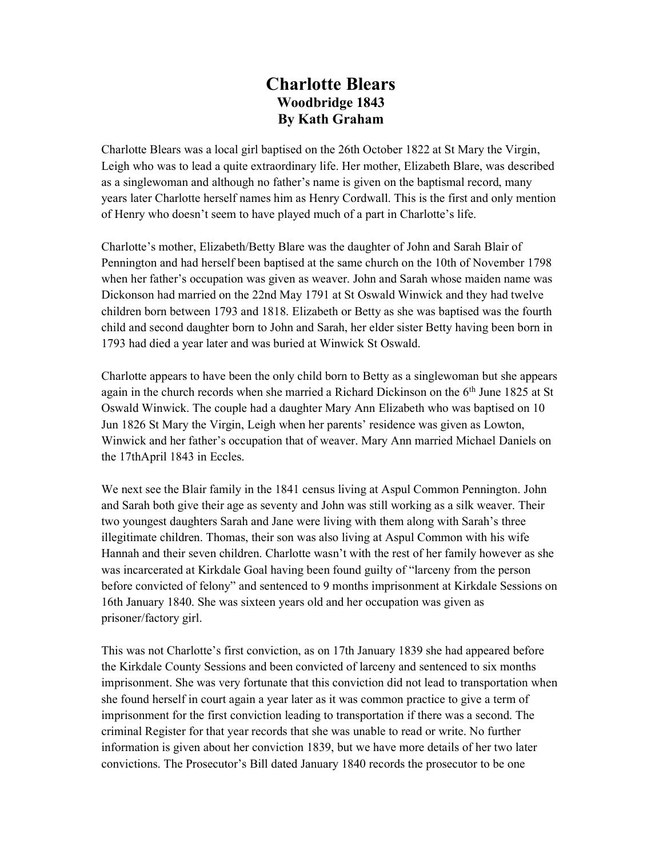## Charlotte Blears Woodbridge 1843 By Kath Graham

Charlotte Blears was a local girl baptised on the 26th October 1822 at St Mary the Virgin, Leigh who was to lead a quite extraordinary life. Her mother, Elizabeth Blare, was described as a singlewoman and although no father's name is given on the baptismal record, many years later Charlotte herself names him as Henry Cordwall. This is the first and only mention of Henry who doesn't seem to have played much of a part in Charlotte's life.

Charlotte's mother, Elizabeth/Betty Blare was the daughter of John and Sarah Blair of Pennington and had herself been baptised at the same church on the 10th of November 1798 when her father's occupation was given as weaver. John and Sarah whose maiden name was Dickonson had married on the 22nd May 1791 at St Oswald Winwick and they had twelve children born between 1793 and 1818. Elizabeth or Betty as she was baptised was the fourth child and second daughter born to John and Sarah, her elder sister Betty having been born in 1793 had died a year later and was buried at Winwick St Oswald.

Charlotte appears to have been the only child born to Betty as a singlewoman but she appears again in the church records when she married a Richard Dickinson on the  $6<sup>th</sup>$  June 1825 at St Oswald Winwick. The couple had a daughter Mary Ann Elizabeth who was baptised on 10 Jun 1826 St Mary the Virgin, Leigh when her parents' residence was given as Lowton, Winwick and her father's occupation that of weaver. Mary Ann married Michael Daniels on the 17thApril 1843 in Eccles.

We next see the Blair family in the 1841 census living at Aspul Common Pennington. John and Sarah both give their age as seventy and John was still working as a silk weaver. Their two youngest daughters Sarah and Jane were living with them along with Sarah's three illegitimate children. Thomas, their son was also living at Aspul Common with his wife Hannah and their seven children. Charlotte wasn't with the rest of her family however as she was incarcerated at Kirkdale Goal having been found guilty of "larceny from the person before convicted of felony" and sentenced to 9 months imprisonment at Kirkdale Sessions on 16th January 1840. She was sixteen years old and her occupation was given as prisoner/factory girl.

This was not Charlotte's first conviction, as on 17th January 1839 she had appeared before the Kirkdale County Sessions and been convicted of larceny and sentenced to six months imprisonment. She was very fortunate that this conviction did not lead to transportation when she found herself in court again a year later as it was common practice to give a term of imprisonment for the first conviction leading to transportation if there was a second. The criminal Register for that year records that she was unable to read or write. No further information is given about her conviction 1839, but we have more details of her two later convictions. The Prosecutor's Bill dated January 1840 records the prosecutor to be one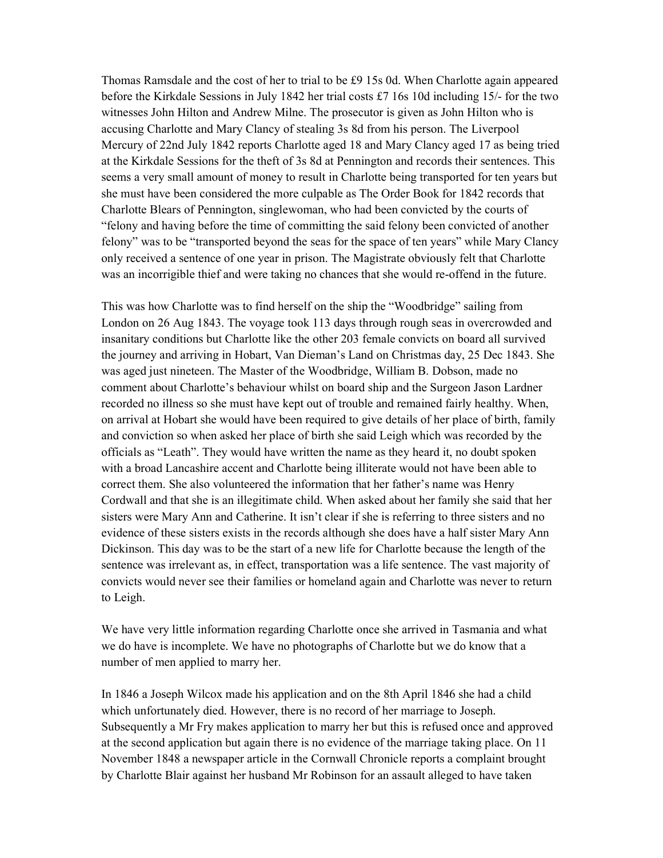Thomas Ramsdale and the cost of her to trial to be £9 15s 0d. When Charlotte again appeared before the Kirkdale Sessions in July 1842 her trial costs £7 16s 10d including 15/- for the two witnesses John Hilton and Andrew Milne. The prosecutor is given as John Hilton who is accusing Charlotte and Mary Clancy of stealing 3s 8d from his person. The Liverpool Mercury of 22nd July 1842 reports Charlotte aged 18 and Mary Clancy aged 17 as being tried at the Kirkdale Sessions for the theft of 3s 8d at Pennington and records their sentences. This seems a very small amount of money to result in Charlotte being transported for ten years but she must have been considered the more culpable as The Order Book for 1842 records that Charlotte Blears of Pennington, singlewoman, who had been convicted by the courts of "felony and having before the time of committing the said felony been convicted of another felony" was to be "transported beyond the seas for the space of ten years" while Mary Clancy only received a sentence of one year in prison. The Magistrate obviously felt that Charlotte was an incorrigible thief and were taking no chances that she would re-offend in the future.

This was how Charlotte was to find herself on the ship the "Woodbridge" sailing from London on 26 Aug 1843. The voyage took 113 days through rough seas in overcrowded and insanitary conditions but Charlotte like the other 203 female convicts on board all survived the journey and arriving in Hobart, Van Dieman's Land on Christmas day, 25 Dec 1843. She was aged just nineteen. The Master of the Woodbridge, William B. Dobson, made no comment about Charlotte's behaviour whilst on board ship and the Surgeon Jason Lardner recorded no illness so she must have kept out of trouble and remained fairly healthy. When, on arrival at Hobart she would have been required to give details of her place of birth, family and conviction so when asked her place of birth she said Leigh which was recorded by the officials as "Leath". They would have written the name as they heard it, no doubt spoken with a broad Lancashire accent and Charlotte being illiterate would not have been able to correct them. She also volunteered the information that her father's name was Henry Cordwall and that she is an illegitimate child. When asked about her family she said that her sisters were Mary Ann and Catherine. It isn't clear if she is referring to three sisters and no evidence of these sisters exists in the records although she does have a half sister Mary Ann Dickinson. This day was to be the start of a new life for Charlotte because the length of the sentence was irrelevant as, in effect, transportation was a life sentence. The vast majority of convicts would never see their families or homeland again and Charlotte was never to return to Leigh.

We have very little information regarding Charlotte once she arrived in Tasmania and what we do have is incomplete. We have no photographs of Charlotte but we do know that a number of men applied to marry her.

In 1846 a Joseph Wilcox made his application and on the 8th April 1846 she had a child which unfortunately died. However, there is no record of her marriage to Joseph. Subsequently a Mr Fry makes application to marry her but this is refused once and approved at the second application but again there is no evidence of the marriage taking place. On 11 November 1848 a newspaper article in the Cornwall Chronicle reports a complaint brought by Charlotte Blair against her husband Mr Robinson for an assault alleged to have taken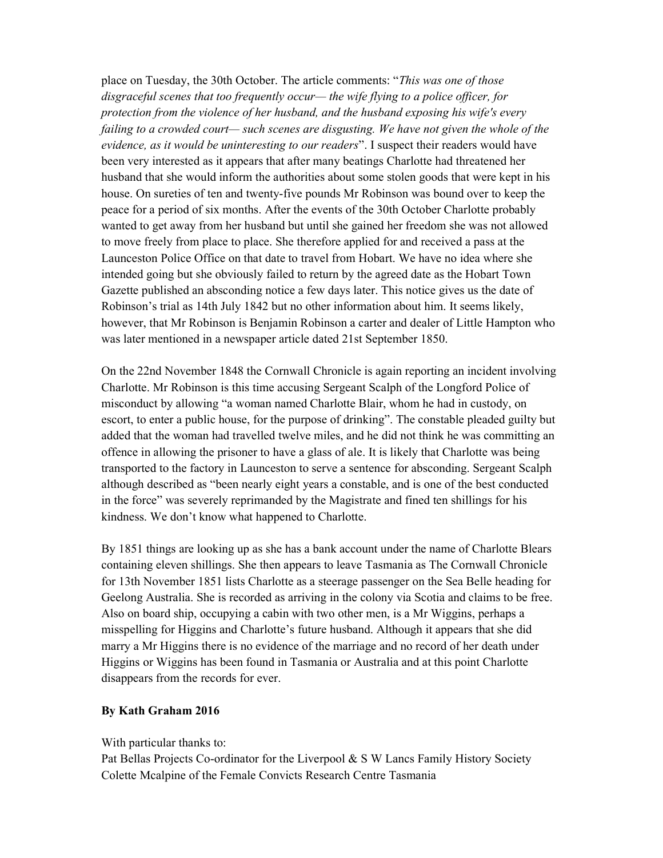place on Tuesday, the 30th October. The article comments: "This was one of those disgraceful scenes that too frequently occur— the wife flying to a police officer, for protection from the violence of her husband, and the husband exposing his wife's every failing to a crowded court— such scenes are disgusting. We have not given the whole of the evidence, as it would be uninteresting to our readers". I suspect their readers would have been very interested as it appears that after many beatings Charlotte had threatened her husband that she would inform the authorities about some stolen goods that were kept in his house. On sureties of ten and twenty-five pounds Mr Robinson was bound over to keep the peace for a period of six months. After the events of the 30th October Charlotte probably wanted to get away from her husband but until she gained her freedom she was not allowed to move freely from place to place. She therefore applied for and received a pass at the Launceston Police Office on that date to travel from Hobart. We have no idea where she intended going but she obviously failed to return by the agreed date as the Hobart Town Gazette published an absconding notice a few days later. This notice gives us the date of Robinson's trial as 14th July 1842 but no other information about him. It seems likely, however, that Mr Robinson is Benjamin Robinson a carter and dealer of Little Hampton who was later mentioned in a newspaper article dated 21st September 1850.

On the 22nd November 1848 the Cornwall Chronicle is again reporting an incident involving Charlotte. Mr Robinson is this time accusing Sergeant Scalph of the Longford Police of misconduct by allowing "a woman named Charlotte Blair, whom he had in custody, on escort, to enter a public house, for the purpose of drinking". The constable pleaded guilty but added that the woman had travelled twelve miles, and he did not think he was committing an offence in allowing the prisoner to have a glass of ale. It is likely that Charlotte was being transported to the factory in Launceston to serve a sentence for absconding. Sergeant Scalph although described as "been nearly eight years a constable, and is one of the best conducted in the force" was severely reprimanded by the Magistrate and fined ten shillings for his kindness. We don't know what happened to Charlotte.

By 1851 things are looking up as she has a bank account under the name of Charlotte Blears containing eleven shillings. She then appears to leave Tasmania as The Cornwall Chronicle for 13th November 1851 lists Charlotte as a steerage passenger on the Sea Belle heading for Geelong Australia. She is recorded as arriving in the colony via Scotia and claims to be free. Also on board ship, occupying a cabin with two other men, is a Mr Wiggins, perhaps a misspelling for Higgins and Charlotte's future husband. Although it appears that she did marry a Mr Higgins there is no evidence of the marriage and no record of her death under Higgins or Wiggins has been found in Tasmania or Australia and at this point Charlotte disappears from the records for ever.

## By Kath Graham 2016

## With particular thanks to:

Pat Bellas Projects Co-ordinator for the Liverpool & S W Lancs Family History Society Colette Mcalpine of the Female Convicts Research Centre Tasmania